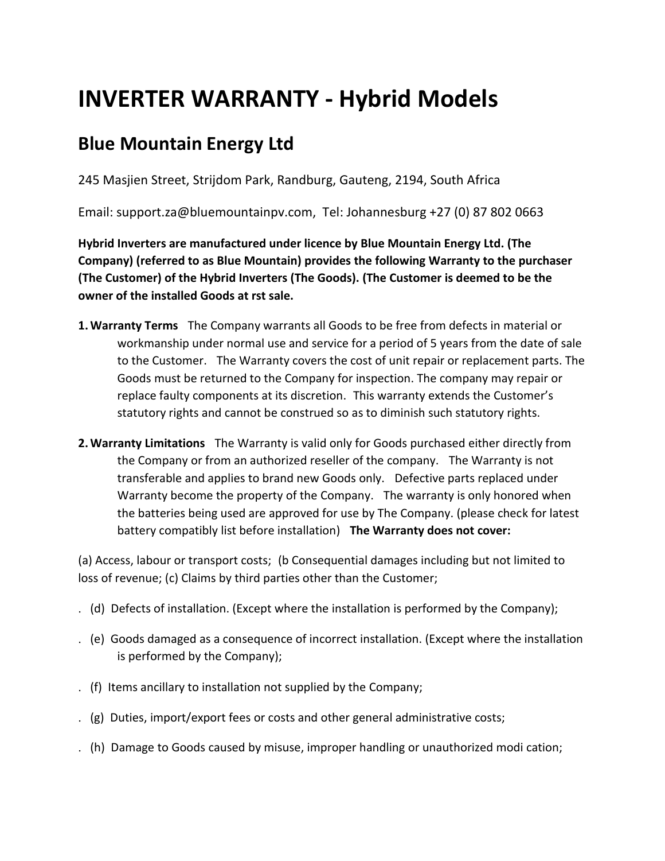## **INVERTER WARRANTY - Hybrid Models**

## **Blue Mountain Energy Ltd**

245 Masjien Street, Strijdom Park, Randburg, Gauteng, 2194, South Africa

Email: support.za@bluemountainpv.com, Tel: Johannesburg +27 (0) 87 802 0663

**Hybrid Inverters are manufactured under licence by Blue Mountain Energy Ltd. (The Company) (referred to as Blue Mountain) provides the following Warranty to the purchaser (The Customer) of the Hybrid Inverters (The Goods). (The Customer is deemed to be the owner of the installed Goods at rst sale.** 

- **1.Warranty Terms**  The Company warrants all Goods to be free from defects in material or workmanship under normal use and service for a period of 5 years from the date of sale to the Customer. The Warranty covers the cost of unit repair or replacement parts. The Goods must be returned to the Company for inspection. The company may repair or replace faulty components at its discretion. This warranty extends the Customer's statutory rights and cannot be construed so as to diminish such statutory rights.
- 2. Warranty Limitations The Warranty is valid only for Goods purchased either directly from the Company or from an authorized reseller of the company. The Warranty is not transferable and applies to brand new Goods only. Defective parts replaced under Warranty become the property of the Company. The warranty is only honored when the batteries being used are approved for use by The Company. (please check for latest battery compatibly list before installation) **The Warranty does not cover:**

(a) Access, labour or transport costs; (b Consequential damages including but not limited to loss of revenue; (c) Claims by third parties other than the Customer;

- . (d) Defects of installation. (Except where the installation is performed by the Company);
- . (e) Goods damaged as a consequence of incorrect installation. (Except where the installation is performed by the Company);
- . (f) Items ancillary to installation not supplied by the Company;
- . (g) Duties, import/export fees or costs and other general administrative costs;
- . (h) Damage to Goods caused by misuse, improper handling or unauthorized modi cation;